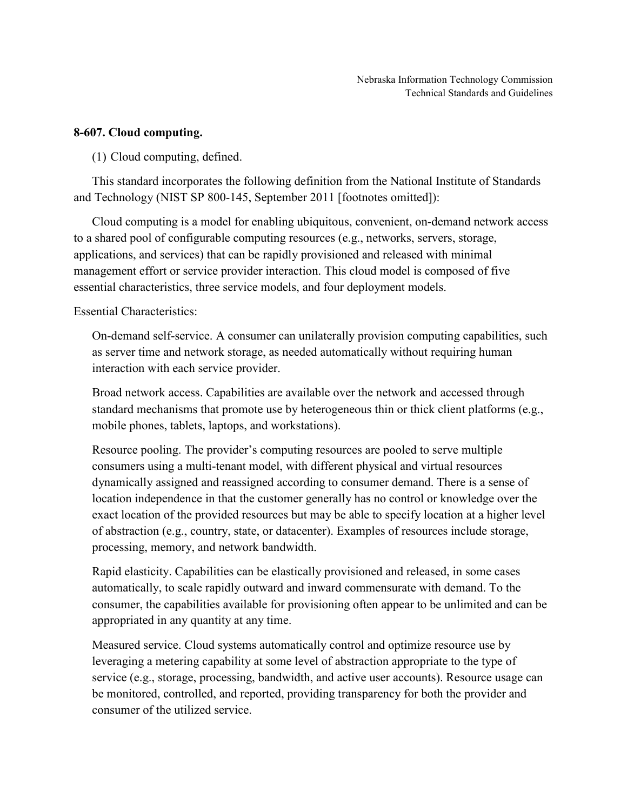## **8-607. Cloud computing.**

(1) Cloud computing, defined.

This standard incorporates the following definition from the National Institute of Standards and Technology (NIST SP 800-145, September 2011 [footnotes omitted]):

Cloud computing is a model for enabling ubiquitous, convenient, on-demand network access to a shared pool of configurable computing resources (e.g., networks, servers, storage, applications, and services) that can be rapidly provisioned and released with minimal management effort or service provider interaction. This cloud model is composed of five essential characteristics, three service models, and four deployment models.

## Essential Characteristics:

On-demand self-service. A consumer can unilaterally provision computing capabilities, such as server time and network storage, as needed automatically without requiring human interaction with each service provider.

Broad network access. Capabilities are available over the network and accessed through standard mechanisms that promote use by heterogeneous thin or thick client platforms (e.g., mobile phones, tablets, laptops, and workstations).

Resource pooling. The provider's computing resources are pooled to serve multiple consumers using a multi-tenant model, with different physical and virtual resources dynamically assigned and reassigned according to consumer demand. There is a sense of location independence in that the customer generally has no control or knowledge over the exact location of the provided resources but may be able to specify location at a higher level of abstraction (e.g., country, state, or datacenter). Examples of resources include storage, processing, memory, and network bandwidth.

Rapid elasticity. Capabilities can be elastically provisioned and released, in some cases automatically, to scale rapidly outward and inward commensurate with demand. To the consumer, the capabilities available for provisioning often appear to be unlimited and can be appropriated in any quantity at any time.

Measured service. Cloud systems automatically control and optimize resource use by leveraging a metering capability at some level of abstraction appropriate to the type of service (e.g., storage, processing, bandwidth, and active user accounts). Resource usage can be monitored, controlled, and reported, providing transparency for both the provider and consumer of the utilized service.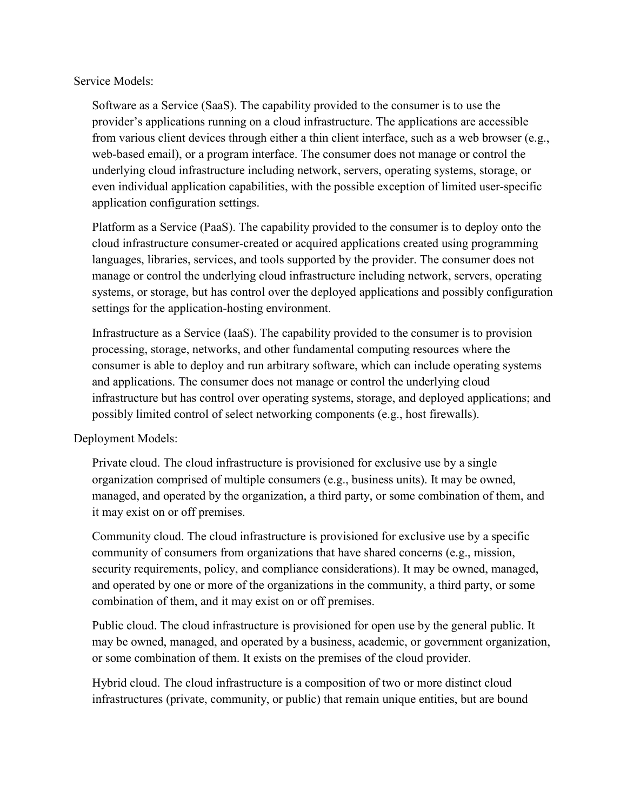Service Models:

Software as a Service (SaaS). The capability provided to the consumer is to use the provider's applications running on a cloud infrastructure. The applications are accessible from various client devices through either a thin client interface, such as a web browser (e.g., web-based email), or a program interface. The consumer does not manage or control the underlying cloud infrastructure including network, servers, operating systems, storage, or even individual application capabilities, with the possible exception of limited user-specific application configuration settings.

Platform as a Service (PaaS). The capability provided to the consumer is to deploy onto the cloud infrastructure consumer-created or acquired applications created using programming languages, libraries, services, and tools supported by the provider. The consumer does not manage or control the underlying cloud infrastructure including network, servers, operating systems, or storage, but has control over the deployed applications and possibly configuration settings for the application-hosting environment.

Infrastructure as a Service (IaaS). The capability provided to the consumer is to provision processing, storage, networks, and other fundamental computing resources where the consumer is able to deploy and run arbitrary software, which can include operating systems and applications. The consumer does not manage or control the underlying cloud infrastructure but has control over operating systems, storage, and deployed applications; and possibly limited control of select networking components (e.g., host firewalls).

Deployment Models:

Private cloud. The cloud infrastructure is provisioned for exclusive use by a single organization comprised of multiple consumers (e.g., business units). It may be owned, managed, and operated by the organization, a third party, or some combination of them, and it may exist on or off premises.

Community cloud. The cloud infrastructure is provisioned for exclusive use by a specific community of consumers from organizations that have shared concerns (e.g., mission, security requirements, policy, and compliance considerations). It may be owned, managed, and operated by one or more of the organizations in the community, a third party, or some combination of them, and it may exist on or off premises.

Public cloud. The cloud infrastructure is provisioned for open use by the general public. It may be owned, managed, and operated by a business, academic, or government organization, or some combination of them. It exists on the premises of the cloud provider.

Hybrid cloud. The cloud infrastructure is a composition of two or more distinct cloud infrastructures (private, community, or public) that remain unique entities, but are bound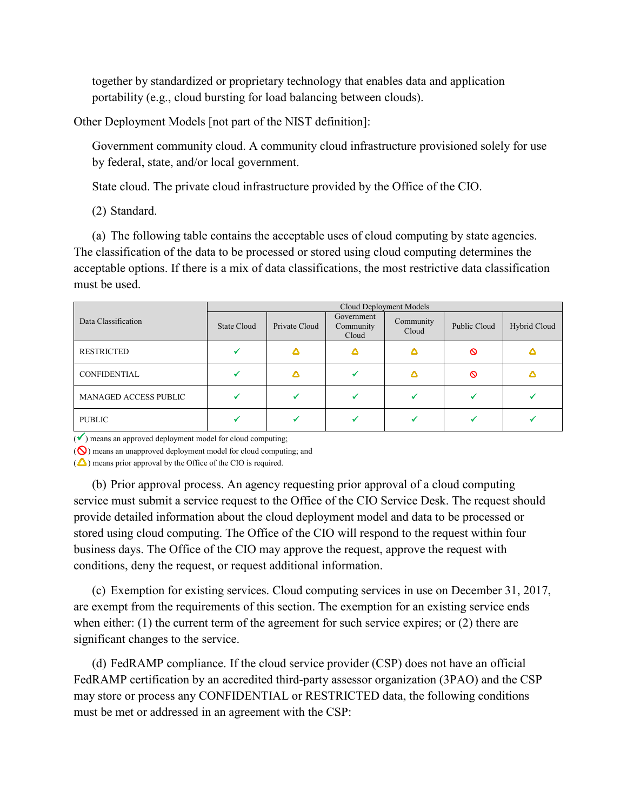together by standardized or proprietary technology that enables data and application portability (e.g., cloud bursting for load balancing between clouds).

Other Deployment Models [not part of the NIST definition]:

Government community cloud. A community cloud infrastructure provisioned solely for use by federal, state, and/or local government.

State cloud. The private cloud infrastructure provided by the Office of the CIO.

(2) Standard.

(a) The following table contains the acceptable uses of cloud computing by state agencies. The classification of the data to be processed or stored using cloud computing determines the acceptable options. If there is a mix of data classifications, the most restrictive data classification must be used.

| Data Classification          | Cloud Deployment Models |               |                                  |                    |              |              |
|------------------------------|-------------------------|---------------|----------------------------------|--------------------|--------------|--------------|
|                              | State Cloud             | Private Cloud | Government<br>Community<br>Cloud | Community<br>Cloud | Public Cloud | Hybrid Cloud |
| <b>RESTRICTED</b>            |                         |               |                                  |                    | ∾            |              |
| CONFIDENTIAL                 |                         |               |                                  |                    |              |              |
| <b>MANAGED ACCESS PUBLIC</b> |                         |               |                                  |                    |              |              |
| <b>PUBLIC</b>                |                         |               |                                  |                    |              |              |

 $(\checkmark)$  means an approved deployment model for cloud computing;

 $(\bigotimes)$  means an unapproved deployment model for cloud computing; and

 $(\triangle)$  means prior approval by the Office of the CIO is required.

(b) Prior approval process. An agency requesting prior approval of a cloud computing service must submit a service request to the Office of the CIO Service Desk. The request should provide detailed information about the cloud deployment model and data to be processed or stored using cloud computing. The Office of the CIO will respond to the request within four business days. The Office of the CIO may approve the request, approve the request with conditions, deny the request, or request additional information.

(c) Exemption for existing services. Cloud computing services in use on December 31, 2017, are exempt from the requirements of this section. The exemption for an existing service ends when either: (1) the current term of the agreement for such service expires; or (2) there are significant changes to the service.

(d) FedRAMP compliance. If the cloud service provider (CSP) does not have an official FedRAMP certification by an accredited third-party assessor organization (3PAO) and the CSP may store or process any CONFIDENTIAL or RESTRICTED data, the following conditions must be met or addressed in an agreement with the CSP: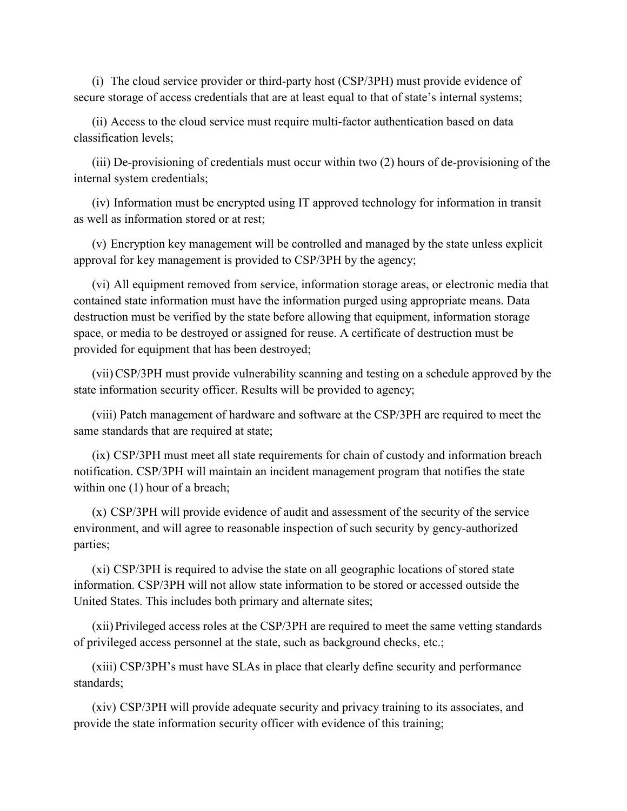(i) The cloud service provider or third-party host (CSP/3PH) must provide evidence of secure storage of access credentials that are at least equal to that of state's internal systems;

(ii) Access to the cloud service must require multi-factor authentication based on data classification levels;

(iii) De-provisioning of credentials must occur within two (2) hours of de-provisioning of the internal system credentials;

(iv) Information must be encrypted using IT approved technology for information in transit as well as information stored or at rest;

(v) Encryption key management will be controlled and managed by the state unless explicit approval for key management is provided to CSP/3PH by the agency;

(vi) All equipment removed from service, information storage areas, or electronic media that contained state information must have the information purged using appropriate means. Data destruction must be verified by the state before allowing that equipment, information storage space, or media to be destroyed or assigned for reuse. A certificate of destruction must be provided for equipment that has been destroyed;

(vii)CSP/3PH must provide vulnerability scanning and testing on a schedule approved by the state information security officer. Results will be provided to agency;

(viii) Patch management of hardware and software at the CSP/3PH are required to meet the same standards that are required at state;

(ix) CSP/3PH must meet all state requirements for chain of custody and information breach notification. CSP/3PH will maintain an incident management program that notifies the state within one (1) hour of a breach;

(x) CSP/3PH will provide evidence of audit and assessment of the security of the service environment, and will agree to reasonable inspection of such security by gency-authorized parties;

(xi) CSP/3PH is required to advise the state on all geographic locations of stored state information. CSP/3PH will not allow state information to be stored or accessed outside the United States. This includes both primary and alternate sites;

(xii) Privileged access roles at the CSP/3PH are required to meet the same vetting standards of privileged access personnel at the state, such as background checks, etc.;

(xiii) CSP/3PH's must have SLAs in place that clearly define security and performance standards;

(xiv) CSP/3PH will provide adequate security and privacy training to its associates, and provide the state information security officer with evidence of this training;